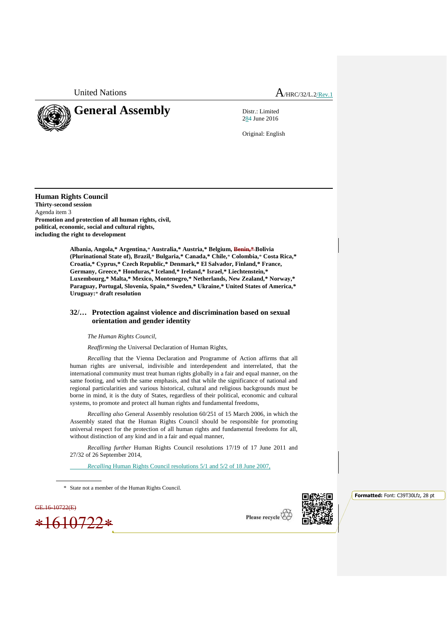United Nations  $A_{HRC/32/L.2/Rev.1}$ 



284 June 2016

Original: English

**Human Rights Council Thirty-second session** Agenda item 3 **Promotion and protection of all human rights, civil, political, economic, social and cultural rights, including the right to development**

> **Albania, Angola,\* Argentina,**\* **Australia,\* Austria,\* Belgium, Benin,\* Bolivia (Plurinational State of), Brazil,**\* **Bulgaria,\* Canada,\* Chile,**\* **Colombia,**\* **Costa Rica,\* Croatia,\* Cyprus,\* Czech Republic,\* Denmark,\* El Salvador, Finland,\* France, Germany, Greece,\* Honduras,\* Iceland,\* Ireland,\* Israel,\* Liechtenstein,\* Luxembourg,\* Malta,\* Mexico, Montenegro,\* Netherlands, New Zealand,\* Norway,\* Paraguay, Portugal, Slovenia, Spain,\* Sweden,\* Ukraine,\* United States of America,\* Uruguay:**\* **draft resolution**

## **32/… Protection against violence and discrimination based on sexual orientation and gender identity**

*The Human Rights Council*,

*Reaffirming* the Universal Declaration of Human Rights,

*Recalling* that the Vienna Declaration and Programme of Action affirms that all human rights are universal, indivisible and interdependent and interrelated, that the international community must treat human rights globally in a fair and equal manner, on the same footing, and with the same emphasis, and that while the significance of national and regional particularities and various historical, cultural and religious backgrounds must be borne in mind, it is the duty of States, regardless of their political, economic and cultural systems, to promote and protect all human rights and fundamental freedoms,

*Recalling also* General Assembly resolution 60/251 of 15 March 2006, in which the Assembly stated that the Human Rights Council should be responsible for promoting universal respect for the protection of all human rights and fundamental freedoms for all, without distinction of any kind and in a fair and equal manner,

*Recalling further* Human Rights Council resolutions 17/19 of 17 June 2011 and 27/32 of 26 September 2014,

*Recalling* Human Rights Council resolutions 5/1 and 5/2 of 18 June 2007,

\* State not a member of the Human Rights Council.

GE.16-10722(E)



Please recycle



**Formatted:** Font: C39T30Lfz, 28 pt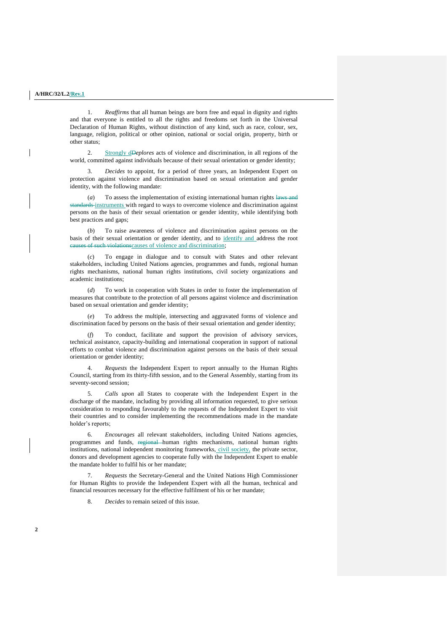1. *Reaffirms* that all human beings are born free and equal in dignity and rights and that everyone is entitled to all the rights and freedoms set forth in the Universal Declaration of Human Rights, without distinction of any kind, such as race, colour, sex, language, religion, political or other opinion, national or social origin, property, birth or other status;

2. Strongly *dDeplores* acts of violence and discrimination, in all regions of the world, committed against individuals because of their sexual orientation or gender identity;

3. *Decides* to appoint, for a period of three years, an Independent Expert on protection against violence and discrimination based on sexual orientation and gender identity, with the following mandate:

To assess the implementation of existing international human rights laws and standards instruments with regard to ways to overcome violence and discrimination against persons on the basis of their sexual orientation or gender identity, while identifying both best practices and gaps;

(*b*) To raise awareness of violence and discrimination against persons on the basis of their sexual orientation or gender identity, and to identify and address the root of such violationscauses of violence and discrimination;

(*c*) To engage in dialogue and to consult with States and other relevant stakeholders, including United Nations agencies, programmes and funds, regional human rights mechanisms, national human rights institutions, civil society organizations and academic institutions;

To work in cooperation with States in order to foster the implementation of measures that contribute to the protection of all persons against violence and discrimination based on sexual orientation and gender identity;

(*e*) To address the multiple, intersecting and aggravated forms of violence and discrimination faced by persons on the basis of their sexual orientation and gender identity;

(*f*) To conduct, facilitate and support the provision of advisory services, technical assistance, capacity-building and international cooperation in support of national efforts to combat violence and discrimination against persons on the basis of their sexual orientation or gender identity;

4. *Requests* the Independent Expert to report annually to the Human Rights Council, starting from its thirty-fifth session, and to the General Assembly, starting from its seventy-second session;

5. *Calls upon* all States to cooperate with the Independent Expert in the discharge of the mandate, including by providing all information requested, to give serious consideration to responding favourably to the requests of the Independent Expert to visit their countries and to consider implementing the recommendations made in the mandate holder's reports;

6. *Encourages* all relevant stakeholders, including United Nations agencies, programmes and funds, regional human rights mechanisms, national human rights institutions, national independent monitoring frameworks, civil society, the private sector, donors and development agencies to cooperate fully with the Independent Expert to enable the mandate holder to fulfil his or her mandate;

7. *Requests* the Secretary-General and the United Nations High Commissioner for Human Rights to provide the Independent Expert with all the human, technical and financial resources necessary for the effective fulfilment of his or her mandate;

8. *Decides* to remain seized of this issue.